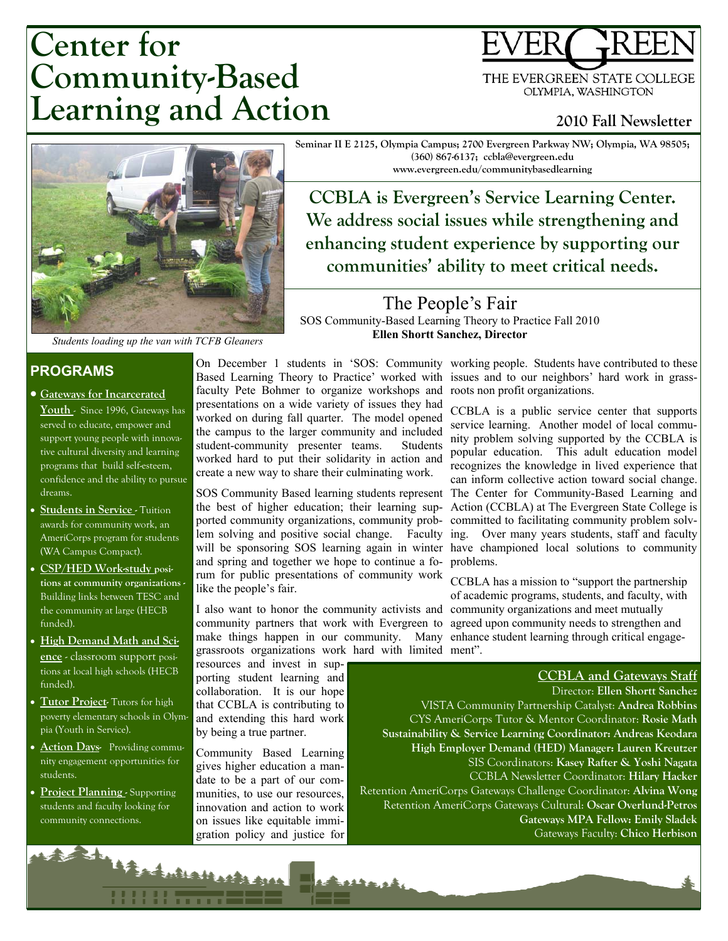# **Center for Community-Based Learning and Action**

THE EVERGREEN STATE COLLEGE OLYMPIA, WASHINGTON

**2010 Fall Newsletter** 



**Seminar II E 2125, Olympia Campus; 2700 Evergreen Parkway NW; Olympia, WA 98505; (360) 867-6137; ccbla@evergreen.edu www.evergreen.edu/communitybasedlearning** 

**CCBLA** is Evergreen's Service Learning Center. **We address social issues while strengthening and enhancing student experience by supporting our**  communities' ability to meet critical needs.

The People's Fair SOS Community-Based Learning Theory to Practice Fall 2010 **Ellen Shortt Sanchez, Director**

*Students loading up the van with TCFB Gleaners* 

## **PROGRAMS**

- x**Gateways for Incarcerated Youth** - Since 1996, Gateways has served to educate, empower and support young people with innovative cultural diversity and learning programs that build self-esteem, confidence and the ability to pursue dreams.
- **Students in Service Tuition** awards for community work, an AmeriCorps program for students (WA Campus Compact).
- x **CSP/HED Work-study positions at community organizations -**  Building links between TESC and the community at large (HECB funded).
- x **High Demand Math and Science** - classroom support positions at local high schools (HECB funded).
- **Tutor Project-** Tutors for high poverty elementary schools in Olympia (Youth in Service).
- **Action Days-** Providing community engagement opportunities for students.
- **Project Planning Supporting** students and faculty looking for community connections.

Botan

On December 1 students in 'SOS: Community Based Learning Theory to Practice' worked with faculty Pete Bohmer to organize workshops and presentations on a wide variety of issues they had worked on during fall quarter. The model opened the campus to the larger community and included student-community presenter teams. Students worked hard to put their solidarity in action and create a new way to share their culminating work.

SOS Community Based learning students represent The Center for Community-Based Learning and the best of higher education; their learning supported community organizations, community problem solving and positive social change. Faculty and spring and together we hope to continue a fo-problems. rum for public presentations of community work like the people's fair.

I also want to honor the community activists and community partners that work with Evergreen to agreed upon community needs to strengthen and make things happen in our community. Many enhance student learning through critical engagegrassroots organizations work hard with limited ment".

resources and invest in supporting student learning and collaboration. It is our hope that CCBLA is contributing to and extending this hard work by being a true partner.

Community Based Learning gives higher education a mandate to be a part of our communities, to use our resources, innovation and action to work on issues like equitable immigration policy and justice for

Fordulus Hertz ALL

working people. Students have contributed to these issues and to our neighbors' hard work in grassroots non profit organizations.

will be sponsoring SOS learning again in winter have championed local solutions to community CCBLA is a public service center that supports service learning. Another model of local community problem solving supported by the CCBLA is popular education. This adult education model recognizes the knowledge in lived experience that can inform collective action toward social change. Action (CCBLA) at The Evergreen State College is committed to facilitating community problem solv-Over many years students, staff and faculty

> CCBLA has a mission to "support the partnership of academic programs, students, and faculty, with community organizations and meet mutually

#### **CCBLA and Gateways Staff**

Director: **Ellen Shortt Sanchez**  VISTA Community Partnership Catalyst: **Andrea Robbins**  VISTA Community Partnership Catalyst: **Andrea Robbins**  CYS AmeriCorps Tutor & Mentor Coordinator: **Rosie Math**  CYS AmeriCorps Tutor & Mentor Coordinator: **Rosie Math Sustainability & Service Learning Coordinator: Andreas Keodara Sustainability Coordinator: Coordinator: Coordinator: Coordinator: Coordinator: Coordinator: Coordinator: Coordinator: Coordinator: Coordinator: Coordinator: Coordinator: Coordinator: Coordinator: Coordinator: Coordinator High Employer Demand (HED) Manager: Lauren Kreutzer**  SIS Coordinators: **Kasey Rafter & Yoshi Nagata**  SIS Coordinators: **Kasey Rafter & Yoshi Nagata**  CCBLA Newsletter Coordinator: **Hilary Hacker**  Retention AmeriCorps Gateways Challenge Coordinator: **Alvina Wong** Retention AmeriCorps Gateways Cultural: Oscar Overlund-Petros **American Corps Gateways MPA Fellow: Emily Sladek** Gateways Faculty: **Chico Herbison**  Gateways Faculty: **Chico Herbison** Director: **Ellen Shortt Sanchez**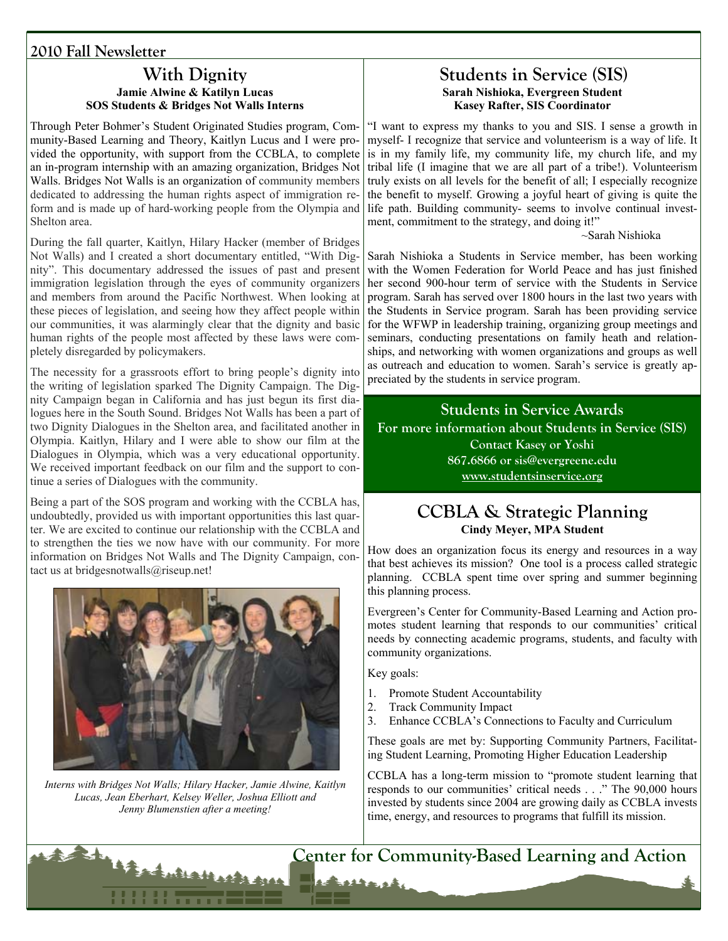## **2010 Fall Newsletter**

#### **With Dignity Jamie Alwine & Katilyn Lucas SOS Students & Bridges Not Walls Interns**

Through Peter Bohmer's Student Originated Studies program, Community-Based Learning and Theory, Kaitlyn Lucus and I were provided the opportunity, with support from the CCBLA, to complete an in-program internship with an amazing organization, Bridges Not Walls. Bridges Not Walls is an organization of community members dedicated to addressing the human rights aspect of immigration reform and is made up of hard-working people from the Olympia and Shelton area.

During the fall quarter, Kaitlyn, Hilary Hacker (member of Bridges Not Walls) and I created a short documentary entitled, "With Dignity". This documentary addressed the issues of past and present immigration legislation through the eyes of community organizers and members from around the Pacific Northwest. When looking at these pieces of legislation, and seeing how they affect people within our communities, it was alarmingly clear that the dignity and basic human rights of the people most affected by these laws were completely disregarded by policymakers.

The necessity for a grassroots effort to bring people's dignity into the writing of legislation sparked The Dignity Campaign. The Dignity Campaign began in California and has just begun its first dialogues here in the South Sound. Bridges Not Walls has been a part of two Dignity Dialogues in the Shelton area, and facilitated another in Olympia. Kaitlyn, Hilary and I were able to show our film at the Dialogues in Olympia, which was a very educational opportunity. We received important feedback on our film and the support to continue a series of Dialogues with the community.

Being a part of the SOS program and working with the CCBLA has, undoubtedly, provided us with important opportunities this last quarter. We are excited to continue our relationship with the CCBLA and to strengthen the ties we now have with our community. For more information on Bridges Not Walls and The Dignity Campaign, contact us at bridgesnotwalls@riseup.net!



*Interns with Bridges Not Walls; Hilary Hacker, Jamie Alwine, Kaitlyn Lucas, Jean Eberhart, Kelsey Weller, Joshua Elliott and Jenny Blumenstien after a meeting!* 

#### **Students in Service (SIS) Sarah Nishioka, Evergreen Student Kasey Rafter, SIS Coordinator**

"I want to express my thanks to you and SIS. I sense a growth in myself- I recognize that service and volunteerism is a way of life. It is in my family life, my community life, my church life, and my tribal life (I imagine that we are all part of a tribe!). Volunteerism truly exists on all levels for the benefit of all; I especially recognize the benefit to myself. Growing a joyful heart of giving is quite the life path. Building community- seems to involve continual investment, commitment to the strategy, and doing it!"

~Sarah Nishioka

Sarah Nishioka a Students in Service member, has been working with the Women Federation for World Peace and has just finished her second 900-hour term of service with the Students in Service program. Sarah has served over 1800 hours in the last two years with the Students in Service program. Sarah has been providing service for the WFWP in leadership training, organizing group meetings and seminars, conducting presentations on family heath and relationships, and networking with women organizations and groups as well as outreach and education to women. Sarah's service is greatly appreciated by the students in service program.

**Students in Service Awards For more information about Students in Service (SIS) Contact Kasey or Yoshi 867.6866 or sis@evergreene.edu www.studentsinservice.org**

## **CCBLA & Strategic Planning Cindy Meyer, MPA Student**

How does an organization focus its energy and resources in a way that best achieves its mission? One tool is a process called strategic planning. CCBLA spent time over spring and summer beginning this planning process.

Evergreen's Center for Community-Based Learning and Action promotes student learning that responds to our communities' critical needs by connecting academic programs, students, and faculty with community organizations.

Key goals:

Barrock

- 1. Promote Student Accountability
- 2. Track Community Impact
- 3. Enhance CCBLA's Connections to Faculty and Curriculum

These goals are met by: Supporting Community Partners, Facilitating Student Learning, Promoting Higher Education Leadership

CCBLA has a long-term mission to "promote student learning that responds to our communities' critical needs . . ." The 90,000 hours invested by students since 2004 are growing daily as CCBLA invests time, energy, and resources to programs that fulfill its mission.

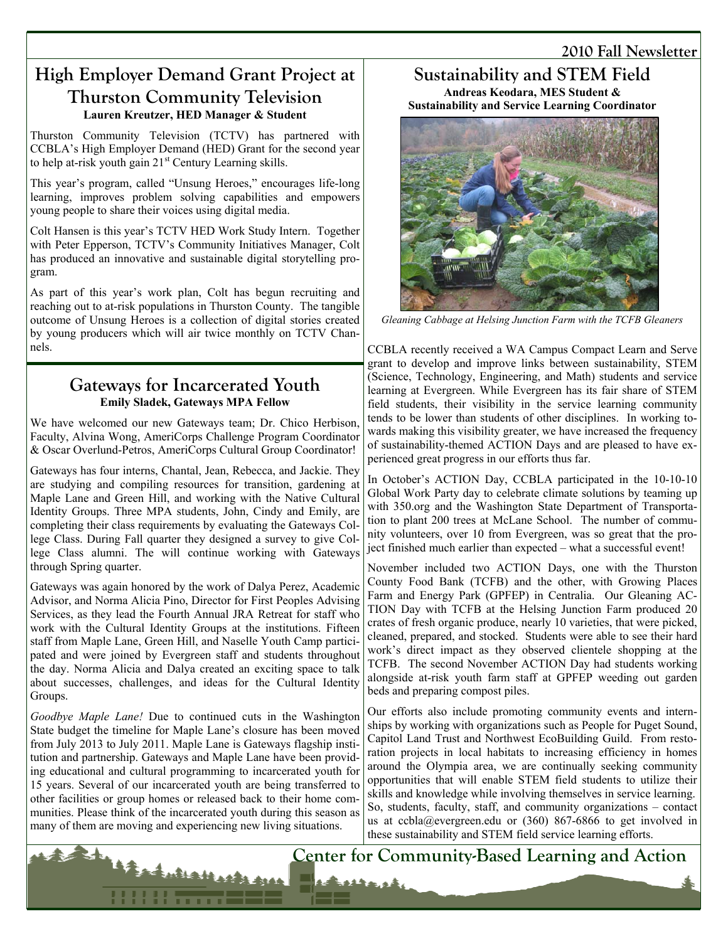## **2010 Fall Newsletter**

# **High Employer Demand Grant Project at Thurston Community Television Lauren Kreutzer, HED Manager & Student**

Thurston Community Television (TCTV) has partnered with CCBLA's High Employer Demand (HED) Grant for the second year to help at-risk youth gain 21<sup>st</sup> Century Learning skills.

This year's program, called "Unsung Heroes," encourages life-long learning, improves problem solving capabilities and empowers young people to share their voices using digital media.

Colt Hansen is this year's TCTV HED Work Study Intern. Together with Peter Epperson, TCTV's Community Initiatives Manager, Colt has produced an innovative and sustainable digital storytelling program.

As part of this year's work plan, Colt has begun recruiting and reaching out to at-risk populations in Thurston County. The tangible outcome of Unsung Heroes is a collection of digital stories created by young producers which will air twice monthly on TCTV Channels.

## **Gateways for Incarcerated Youth Emily Sladek, Gateways MPA Fellow**

We have welcomed our new Gateways team; Dr. Chico Herbison, Faculty, Alvina Wong, AmeriCorps Challenge Program Coordinator & Oscar Overlund-Petros, AmeriCorps Cultural Group Coordinator!

Gateways has four interns, Chantal, Jean, Rebecca, and Jackie. They are studying and compiling resources for transition, gardening at Maple Lane and Green Hill, and working with the Native Cultural Identity Groups. Three MPA students, John, Cindy and Emily, are completing their class requirements by evaluating the Gateways College Class. During Fall quarter they designed a survey to give College Class alumni. The will continue working with Gateways through Spring quarter.

Gateways was again honored by the work of Dalya Perez, Academic Advisor, and Norma Alicia Pino, Director for First Peoples Advising Services, as they lead the Fourth Annual JRA Retreat for staff who work with the Cultural Identity Groups at the institutions. Fifteen staff from Maple Lane, Green Hill, and Naselle Youth Camp participated and were joined by Evergreen staff and students throughout the day. Norma Alicia and Dalya created an exciting space to talk about successes, challenges, and ideas for the Cultural Identity Groups.

*Goodbye Maple Lane!* Due to continued cuts in the Washington State budget the timeline for Maple Lane's closure has been moved from July 2013 to July 2011. Maple Lane is Gateways flagship institution and partnership. Gateways and Maple Lane have been providing educational and cultural programming to incarcerated youth for 15 years. Several of our incarcerated youth are being transferred to other facilities or group homes or released back to their home communities. Please think of the incarcerated youth during this season as many of them are moving and experiencing new living situations.

Barbarbarbarbasse

## **Sustainability and STEM Field Andreas Keodara, MES Student &**

**Sustainability and Service Learning Coordinator** 



*Gleaning Cabbage at Helsing Junction Farm with the TCFB Gleaners* 

CCBLA recently received a WA Campus Compact Learn and Serve grant to develop and improve links between sustainability, STEM (Science, Technology, Engineering, and Math) students and service learning at Evergreen. While Evergreen has its fair share of STEM field students, their visibility in the service learning community tends to be lower than students of other disciplines. In working towards making this visibility greater, we have increased the frequency of sustainability-themed ACTION Days and are pleased to have experienced great progress in our efforts thus far.

In October's ACTION Day, CCBLA participated in the 10-10-10 Global Work Party day to celebrate climate solutions by teaming up with 350.org and the Washington State Department of Transportation to plant 200 trees at McLane School. The number of community volunteers, over 10 from Evergreen, was so great that the project finished much earlier than expected – what a successful event!

November included two ACTION Days, one with the Thurston County Food Bank (TCFB) and the other, with Growing Places Farm and Energy Park (GPFEP) in Centralia. Our Gleaning AC-TION Day with TCFB at the Helsing Junction Farm produced 20 crates of fresh organic produce, nearly 10 varieties, that were picked, cleaned, prepared, and stocked. Students were able to see their hard work's direct impact as they observed clientele shopping at the TCFB. The second November ACTION Day had students working alongside at-risk youth farm staff at GPFEP weeding out garden beds and preparing compost piles.

Our efforts also include promoting community events and internships by working with organizations such as People for Puget Sound, Capitol Land Trust and Northwest EcoBuilding Guild. From restoration projects in local habitats to increasing efficiency in homes around the Olympia area, we are continually seeking community opportunities that will enable STEM field students to utilize their skills and knowledge while involving themselves in service learning. So, students, faculty, staff, and community organizations – contact us at ccbla@evergreen.edu or  $(360)$  867-6866 to get involved in these sustainability and STEM field service learning efforts.

**Center for Community-Based Learning and Action**